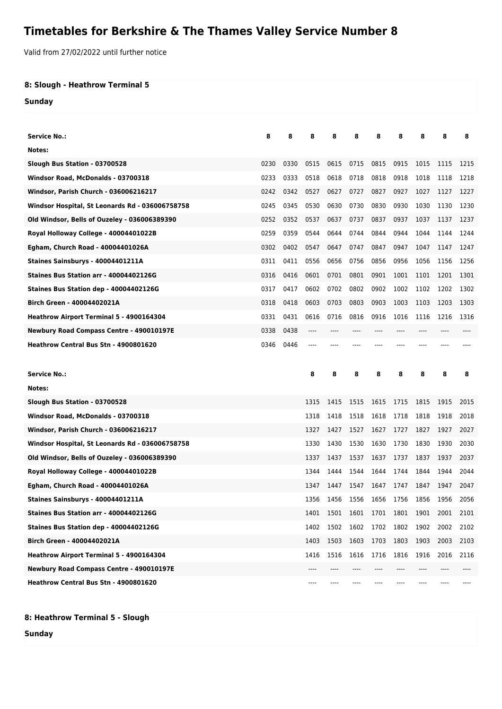## **Timetables for Berkshire & The Thames Valley Service Number 8**

Valid from 27/02/2022 until further notice

## **8: Slough - Heathrow Terminal 5**

**Sunday**

| <b>Service No.:</b>                             | 8    | 8    | 8    | 8    | 8     | 8    | 8    | 8                             | 8    | 8    |
|-------------------------------------------------|------|------|------|------|-------|------|------|-------------------------------|------|------|
| Notes:                                          |      |      |      |      |       |      |      |                               |      |      |
| Slough Bus Station - 03700528                   | 0230 | 0330 | 0515 | 0615 | 0715  | 0815 | 0915 | 1015                          | 1115 | 1215 |
| Windsor Road, McDonalds - 03700318              | 0233 | 0333 | 0518 | 0618 | 0718  | 0818 | 0918 | 1018                          | 1118 | 1218 |
| Windsor, Parish Church - 036006216217           | 0242 | 0342 | 0527 | 0627 | 0727  | 0827 | 0927 | 1027                          | 1127 | 1227 |
| Windsor Hospital, St Leonards Rd - 036006758758 | 0245 | 0345 | 0530 | 0630 | 0730  | 0830 | 0930 | 1030                          | 1130 | 1230 |
| Old Windsor, Bells of Ouzeley - 036006389390    | 0252 | 0352 | 0537 | 0637 | 0737  | 0837 | 0937 | 1037                          | 1137 | 1237 |
| Royal Holloway College - 40004401022B           | 0259 | 0359 | 0544 | 0644 | 0744  | 0844 | 0944 | 1044                          | 1144 | 1244 |
| Egham, Church Road - 40004401026A               | 0302 | 0402 | 0547 | 0647 | 0747  | 0847 | 0947 | 1047                          | 1147 | 1247 |
| Staines Sainsburys - 40004401211A               | 0311 | 0411 | 0556 | 0656 | 0756  | 0856 | 0956 | 1056                          | 1156 | 1256 |
| Staines Bus Station arr - 40004402126G          | 0316 | 0416 | 0601 | 0701 | 0801  | 0901 | 1001 | 1101                          | 1201 | 1301 |
| Staines Bus Station dep - 40004402126G          | 0317 | 0417 | 0602 | 0702 | 0802  | 0902 | 1002 | 1102                          | 1202 | 1302 |
| Birch Green - 40004402021A                      | 0318 | 0418 | 0603 | 0703 | 0803  | 0903 | 1003 | 1103                          | 1203 | 1303 |
| Heathrow Airport Terminal 5 - 4900164304        | 0331 | 0431 | 0616 | 0716 | 0816  | 0916 | 1016 | 1116                          | 1216 | 1316 |
| Newbury Road Compass Centre - 490010197E        | 0338 | 0438 | ---- | ---- | $---$ | ---- | ---- | ----                          | ---- |      |
| Heathrow Central Bus Stn - 4900801620           | 0346 | 0446 | ---- |      |       |      |      |                               |      |      |
|                                                 |      |      |      |      |       |      |      |                               |      |      |
|                                                 |      |      |      |      |       |      |      |                               |      |      |
| Service No.:                                    |      |      | 8    | 8    | 8     | 8    | 8    | 8                             | 8    | 8    |
| Notes:                                          |      |      |      |      |       |      |      |                               |      |      |
| Slough Bus Station - 03700528                   |      |      | 1315 | 1415 | 1515  | 1615 | 1715 | 1815                          | 1915 | 2015 |
| Windsor Road, McDonalds - 03700318              |      |      | 1318 | 1418 | 1518  | 1618 | 1718 | 1818                          | 1918 | 2018 |
| Windsor, Parish Church - 036006216217           |      |      | 1327 | 1427 | 1527  | 1627 | 1727 | 1827                          | 1927 | 2027 |
| Windsor Hospital, St Leonards Rd - 036006758758 |      |      | 1330 | 1430 | 1530  | 1630 | 1730 | 1830                          | 1930 | 2030 |
| Old Windsor, Bells of Ouzeley - 036006389390    |      |      | 1337 | 1437 | 1537  | 1637 | 1737 | 1837                          | 1937 | 2037 |
| Royal Holloway College - 40004401022B           |      |      | 1344 | 1444 | 1544  | 1644 | 1744 | 1844                          | 1944 | 2044 |
| Egham, Church Road - 40004401026A               |      |      | 1347 | 1447 | 1547  | 1647 | 1747 | 1847                          | 1947 | 2047 |
| Staines Sainsburys - 40004401211A               |      |      | 1356 |      |       |      |      | 1456 1556 1656 1756 1856 1956 |      | 2056 |
| Staines Bus Station arr - 40004402126G          |      |      | 1401 | 1501 | 1601  | 1701 | 1801 | 1901                          | 2001 | 2101 |
| Staines Bus Station dep - 40004402126G          |      |      | 1402 | 1502 | 1602  | 1702 | 1802 | 1902                          | 2002 | 2102 |
| Birch Green - 40004402021A                      |      |      | 1403 | 1503 | 1603  | 1703 | 1803 | 1903                          | 2003 | 2103 |
| Heathrow Airport Terminal 5 - 4900164304        |      |      | 1416 | 1516 | 1616  | 1716 | 1816 | 1916                          | 2016 | 2116 |
| Newbury Road Compass Centre - 490010197E        |      |      |      |      |       |      |      |                               |      |      |

## **8: Heathrow Terminal 5 - Slough**

**Sunday**